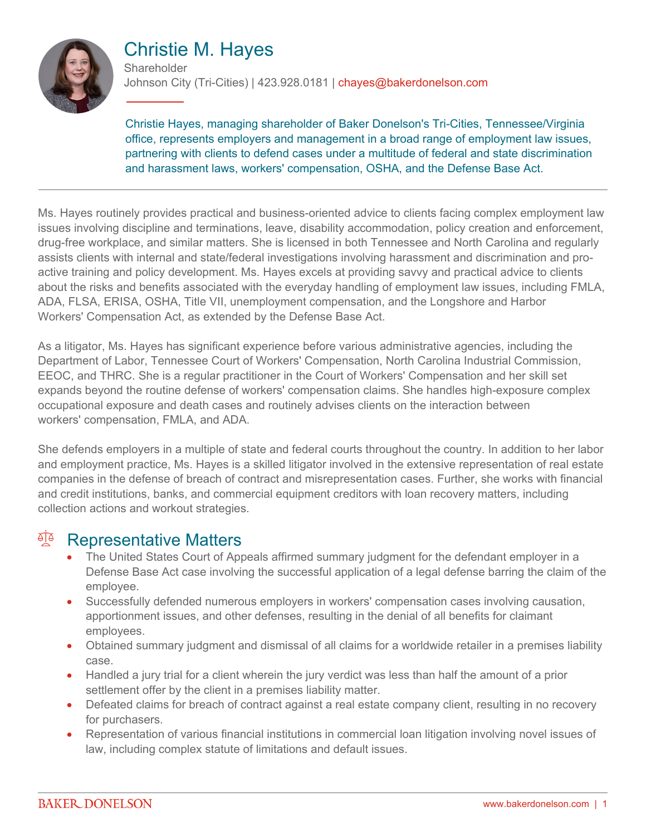

# Christie M. Hayes

**Shareholder** Johnson City (Tri-Cities) | 423.928.0181 | chayes@bakerdonelson.com

Christie Hayes, managing shareholder of Baker Donelson's Tri-Cities, Tennessee/Virginia office, represents employers and management in a broad range of employment law issues, partnering with clients to defend cases under a multitude of federal and state discrimination and harassment laws, workers' compensation, OSHA, and the Defense Base Act.

Ms. Hayes routinely provides practical and business-oriented advice to clients facing complex employment law issues involving discipline and terminations, leave, disability accommodation, policy creation and enforcement, drug-free workplace, and similar matters. She is licensed in both Tennessee and North Carolina and regularly assists clients with internal and state/federal investigations involving harassment and discrimination and proactive training and policy development. Ms. Hayes excels at providing savvy and practical advice to clients about the risks and benefits associated with the everyday handling of employment law issues, including FMLA, ADA, FLSA, ERISA, OSHA, Title VII, unemployment compensation, and the Longshore and Harbor Workers' Compensation Act, as extended by the Defense Base Act.

As a litigator, Ms. Hayes has significant experience before various administrative agencies, including the Department of Labor, Tennessee Court of Workers' Compensation, North Carolina Industrial Commission, EEOC, and THRC. She is a regular practitioner in the Court of Workers' Compensation and her skill set expands beyond the routine defense of workers' compensation claims. She handles high-exposure complex occupational exposure and death cases and routinely advises clients on the interaction between workers' compensation, FMLA, and ADA.

She defends employers in a multiple of state and federal courts throughout the country. In addition to her labor and employment practice, Ms. Hayes is a skilled litigator involved in the extensive representation of real estate companies in the defense of breach of contract and misrepresentation cases. Further, she works with financial and credit institutions, banks, and commercial equipment creditors with loan recovery matters, including collection actions and workout strategies.

#### <sup>A</sup> Representative Matters

- The United States Court of Appeals affirmed summary judgment for the defendant employer in a Defense Base Act case involving the successful application of a legal defense barring the claim of the employee.
- Successfully defended numerous employers in workers' compensation cases involving causation, apportionment issues, and other defenses, resulting in the denial of all benefits for claimant employees.
- Obtained summary judgment and dismissal of all claims for a worldwide retailer in a premises liability case.
- Handled a jury trial for a client wherein the jury verdict was less than half the amount of a prior settlement offer by the client in a premises liability matter.
- Defeated claims for breach of contract against a real estate company client, resulting in no recovery for purchasers.
- Representation of various financial institutions in commercial loan litigation involving novel issues of law, including complex statute of limitations and default issues.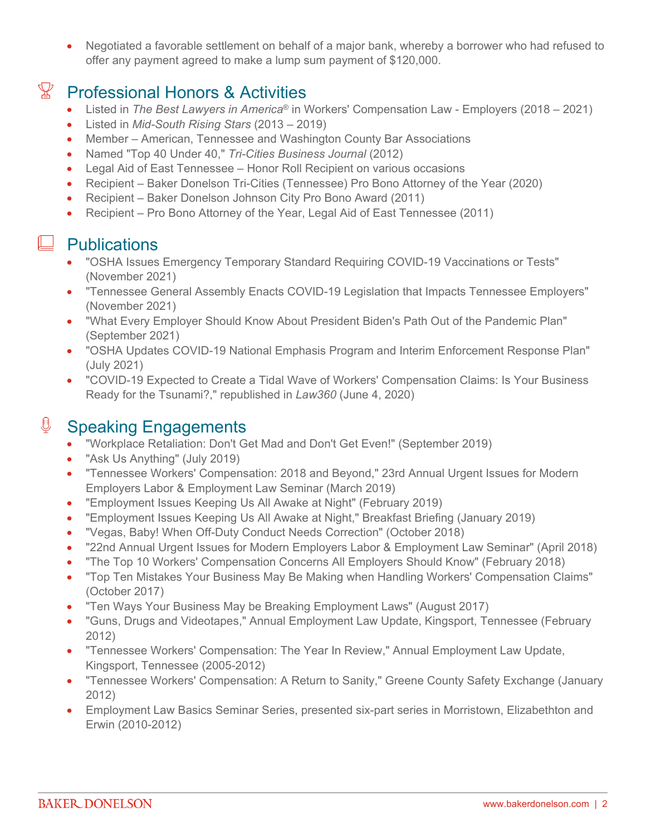Negotiated a favorable settlement on behalf of a major bank, whereby a borrower who had refused to offer any payment agreed to make a lump sum payment of \$120,000.

# $\mathbb{F}$  Professional Honors & Activities

- Listed in *The Best Lawyers in America*® in Workers' Compensation Law Employers (2018 2021)
- Listed in *Mid-South Rising Stars* (2013 2019)
- Member American, Tennessee and Washington County Bar Associations
- Named "Top 40 Under 40," *Tri-Cities Business Journal* (2012)
- Legal Aid of East Tennessee Honor Roll Recipient on various occasions
- Recipient Baker Donelson Tri-Cities (Tennessee) Pro Bono Attorney of the Year (2020)
- Recipient Baker Donelson Johnson City Pro Bono Award (2011)
- Recipient Pro Bono Attorney of the Year, Legal Aid of East Tennessee (2011)

#### $\Box$  Publications

- "OSHA Issues Emergency Temporary Standard Requiring COVID-19 Vaccinations or Tests" (November 2021)
- "Tennessee General Assembly Enacts COVID-19 Legislation that Impacts Tennessee Employers" (November 2021)
- "What Every Employer Should Know About President Biden's Path Out of the Pandemic Plan" (September 2021)
- "OSHA Updates COVID-19 National Emphasis Program and Interim Enforcement Response Plan" (July 2021)
- "COVID-19 Expected to Create a Tidal Wave of Workers' Compensation Claims: Is Your Business Ready for the Tsunami?," republished in *Law360* (June 4, 2020)

## <sup>0</sup> Speaking Engagements

- "Workplace Retaliation: Don't Get Mad and Don't Get Even!" (September 2019)
- "Ask Us Anything" (July 2019)
- "Tennessee Workers' Compensation: 2018 and Beyond," 23rd Annual Urgent Issues for Modern Employers Labor & Employment Law Seminar (March 2019)
- "Employment Issues Keeping Us All Awake at Night" (February 2019)
- "Employment Issues Keeping Us All Awake at Night," Breakfast Briefing (January 2019)
- "Vegas, Baby! When Off-Duty Conduct Needs Correction" (October 2018)
- "22nd Annual Urgent Issues for Modern Employers Labor & Employment Law Seminar" (April 2018)
- "The Top 10 Workers' Compensation Concerns All Employers Should Know" (February 2018)
- "Top Ten Mistakes Your Business May Be Making when Handling Workers' Compensation Claims" (October 2017)
- "Ten Ways Your Business May be Breaking Employment Laws" (August 2017)
- "Guns, Drugs and Videotapes," Annual Employment Law Update, Kingsport, Tennessee (February 2012)
- "Tennessee Workers' Compensation: The Year In Review," Annual Employment Law Update, Kingsport, Tennessee (2005-2012)
- "Tennessee Workers' Compensation: A Return to Sanity," Greene County Safety Exchange (January 2012)
- Employment Law Basics Seminar Series, presented six-part series in Morristown, Elizabethton and Erwin (2010-2012)